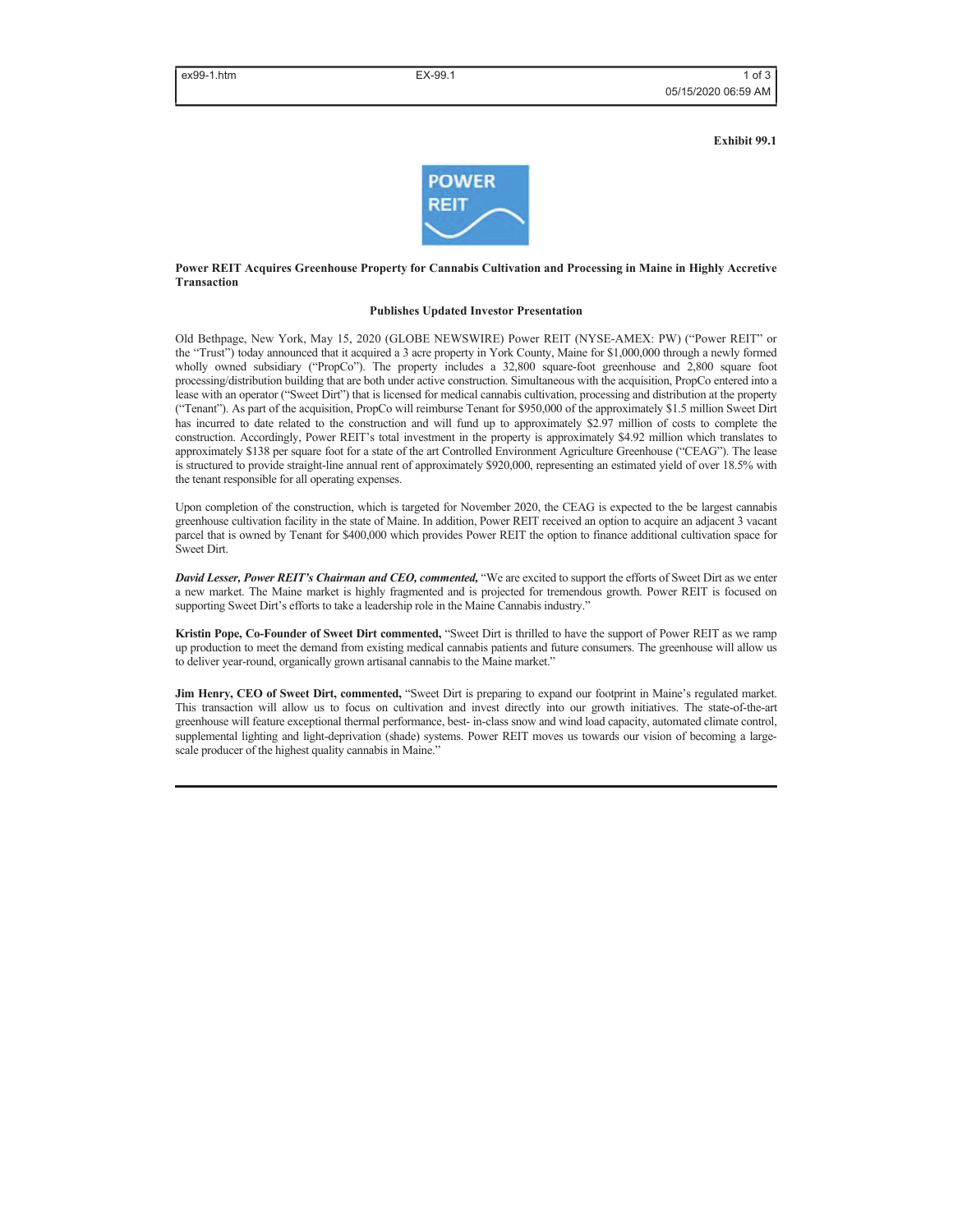**Exhibit 99.1**



#### **Power REIT Acquires Greenhouse Property for Cannabis Cultivation and Processing in Maine in Highly Accretive Transaction**

#### **Publishes Updated Investor Presentation**

Old Bethpage, New York, May 15, 2020 (GLOBE NEWSWIRE) Power REIT (NYSE-AMEX: PW) ("Power REIT" or the "Trust") today announced that it acquired a 3 acre property in York County, Maine for \$1,000,000 through a newly formed wholly owned subsidiary ("PropCo"). The property includes a 32,800 square-foot greenhouse and 2,800 square foot processing/distribution building that are both under active construction. Simultaneous with the acquisition, PropCo entered into a lease with an operator ("Sweet Dirt") that is licensed for medical cannabis cultivation, processing and distribution at the property ("Tenant"). As part of the acquisition, PropCo will reimburse Tenant for \$950,000 of the approximately \$1.5 million Sweet Dirt has incurred to date related to the construction and will fund up to approximately \$2.97 million of costs to complete the construction. Accordingly, Power REIT's total investment in the property is approximately \$4.92 million which translates to approximately \$138 per square foot for a state of the art Controlled Environment Agriculture Greenhouse ("CEAG"). The lease is structured to provide straight-line annual rent of approximately \$920,000, representing an estimated yield of over 18.5% with the tenant responsible for all operating expenses.

Upon completion of the construction, which is targeted for November 2020, the CEAG is expected to the be largest cannabis greenhouse cultivation facility in the state of Maine. In addition, Power REIT received an option to acquire an adjacent 3 vacant parcel that is owned by Tenant for \$400,000 which provides Power REIT the option to finance additional cultivation space for Sweet Dirt.

*David Lesser, Power REIT's Chairman and CEO, commented,* "We are excited to support the efforts of Sweet Dirt as we enter a new market. The Maine market is highly fragmented and is projected for tremendous growth. Power REIT is focused on supporting Sweet Dirt's efforts to take a leadership role in the Maine Cannabis industry."

**Kristin Pope, Co-Founder of Sweet Dirt commented,** "Sweet Dirt is thrilled to have the support of Power REIT as we ramp up production to meet the demand from existing medical cannabis patients and future consumers. The greenhouse will allow us to deliver year-round, organically grown artisanal cannabis to the Maine market."

**Jim Henry, CEO of Sweet Dirt, commented,** "Sweet Dirt is preparing to expand our footprint in Maine's regulated market. This transaction will allow us to focus on cultivation and invest directly into our growth initiatives. The state-of-the-art greenhouse will feature exceptional thermal performance, best- in-class snow and wind load capacity, automated climate control, supplemental lighting and light-deprivation (shade) systems. Power REIT moves us towards our vision of becoming a largescale producer of the highest quality cannabis in Maine."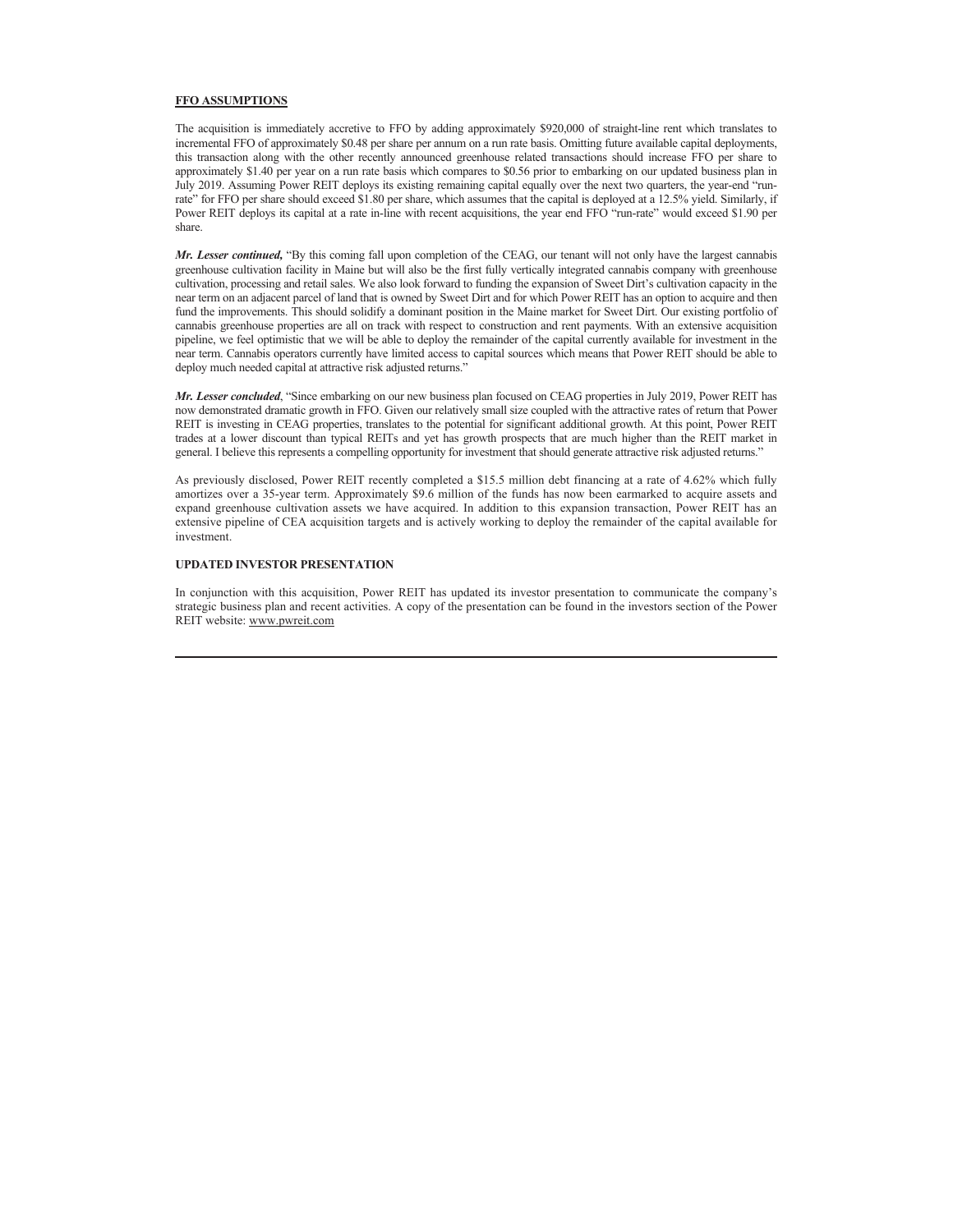### **FFO ASSUMPTIONS**

The acquisition is immediately accretive to FFO by adding approximately \$920,000 of straight-line rent which translates to incremental FFO of approximately \$0.48 per share per annum on a run rate basis. Omitting future available capital deployments, this transaction along with the other recently announced greenhouse related transactions should increase FFO per share to approximately \$1.40 per year on a run rate basis which compares to \$0.56 prior to embarking on our updated business plan in July 2019. Assuming Power REIT deploys its existing remaining capital equally over the next two quarters, the year-end "runrate" for FFO per share should exceed \$1.80 per share, which assumes that the capital is deployed at a 12.5% yield. Similarly, if Power REIT deploys its capital at a rate in-line with recent acquisitions, the year end FFO "run-rate" would exceed \$1.90 per share.

*Mr. Lesser continued,* "By this coming fall upon completion of the CEAG, our tenant will not only have the largest cannabis greenhouse cultivation facility in Maine but will also be the first fully vertically integrated cannabis company with greenhouse cultivation, processing and retail sales. We also look forward to funding the expansion of Sweet Dirt's cultivation capacity in the near term on an adjacent parcel of land that is owned by Sweet Dirt and for which Power REIT has an option to acquire and then fund the improvements. This should solidify a dominant position in the Maine market for Sweet Dirt. Our existing portfolio of cannabis greenhouse properties are all on track with respect to construction and rent payments. With an extensive acquisition pipeline, we feel optimistic that we will be able to deploy the remainder of the capital currently available for investment in the near term. Cannabis operators currently have limited access to capital sources which means that Power REIT should be able to deploy much needed capital at attractive risk adjusted returns."

*Mr. Lesser concluded*, "Since embarking on our new business plan focused on CEAG properties in July 2019, Power REIT has now demonstrated dramatic growth in FFO. Given our relatively small size coupled with the attractive rates of return that Power REIT is investing in CEAG properties, translates to the potential for significant additional growth. At this point, Power REIT trades at a lower discount than typical REITs and yet has growth prospects that are much higher than the REIT market in general. I believe this represents a compelling opportunity for investment that should generate attractive risk adjusted returns."

As previously disclosed, Power REIT recently completed a \$15.5 million debt financing at a rate of 4.62% which fully amortizes over a 35-year term. Approximately \$9.6 million of the funds has now been earmarked to acquire assets and expand greenhouse cultivation assets we have acquired. In addition to this expansion transaction, Power REIT has an extensive pipeline of CEA acquisition targets and is actively working to deploy the remainder of the capital available for investment.

# **UPDATED INVESTOR PRESENTATION**

In conjunction with this acquisition, Power REIT has updated its investor presentation to communicate the company's strategic business plan and recent activities. A copy of the presentation can be found in the investors section of the Power REIT website: www.pwreit.com